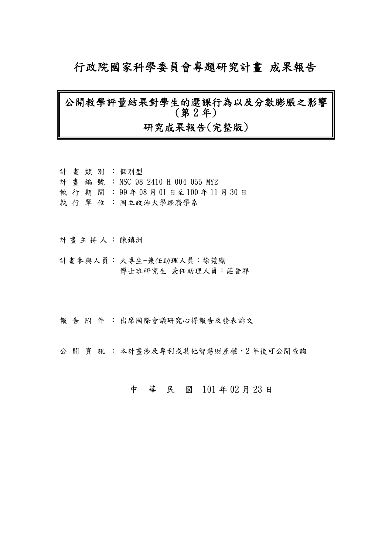### 行政院國家科學委員會專題研究計畫 成果報告

### 公開教學評量結果對學生的選課行為以及分數膨脹之影響 (第 2 年) 研究成果報告(完整版)

### 計畫類別: 個別型 計畫編號: NSC 98-2410-H-004-055-MY2 執 行 期 間 : 99 年 08 月 01 日至 100 年 11 月 30 日 執 行 單 位 : 國立政治大學經濟學系

#### 計畫主持人: 陳鎮洲

- 計畫參與人員: 大專生-兼任助理人員:徐菀勵 博士班研究生-兼任助理人員:莊晉祥
- 報告附件: 出席國際會議研究心得報告及發表論文

公開 資訊 : 本計畫涉及專利或其他智慧財產權, 2年後可公開查詢

### 中 華 民 國 101 年 02 月 23 日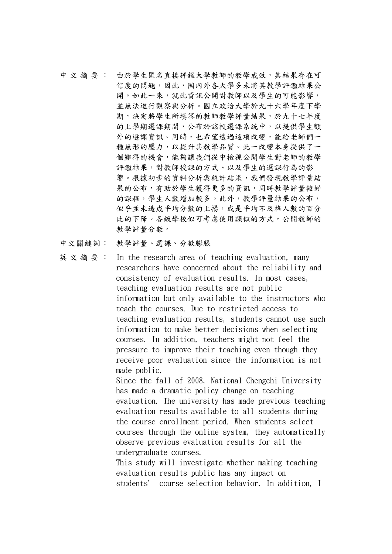- 中 文 摘 要 : 由於學生匿名直接評鑑大學教師的教學成效,其結果存在可 信度的問題,因此,國內外各大學多未將其教學評鑑結果公 開。如此一來,就此資訊公開對教師以及學生的可能影響, 並無法進行觀察與分析。國立政治大學於九十六學年度下學 期,決定將學生所填答的教師教學評量結果,於九十七年度 的上學期選課期間,公布於該校選課系統中,以提供學生額 外的選課資訊。同時,也希望透過這項改變,能給老師們一 種無形的壓力,以提升其教學品質。此一改變本身提供了一 個難得的機會,能夠讓我們從中檢視公開學生對老師的教學 評鑑結果,對教師授課的方式、以及學生的選課行為的影 響。根據初步的資料分析與統計結果,我們發現教學評量結 果的公布,有助於學生獲得更多的資訊,同時教學評量較好 的課程,學生人數增加較多。此外,教學評量結果的公布, 似乎並未造成平均分數的上揚,或是平均不及格人數的百分 比的下降。各級學校似可考慮使用類似的方式,公開教師的 教學評量分數。
- 中文關鍵詞: 教學評量、選課、分數膨脹
- 英 文 摘 要 : In the research area of teaching evaluation, many researchers have concerned about the reliability and consistency of evaluation results. In most cases, teaching evaluation results are not public information but only available to the instructors who teach the courses. Due to restricted access to teaching evaluation results, students cannot use such information to make better decisions when selecting courses. In addition, teachers might not feel the pressure to improve their teaching even though they receive poor evaluation since the information is not made public. Since the fall of 2008, National Chengchi University

has made a dramatic policy change on teaching evaluation. The university has made previous teaching evaluation results available to all students during the course enrollment period. When students select courses through the online system, they automatically observe previous evaluation results for all the undergraduate courses.

This study will investigate whether making teaching evaluation results public has any impact on students' course selection behavior. In addition, I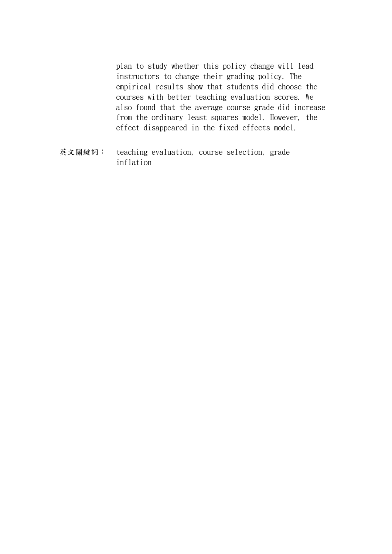plan to study whether this policy change will lead instructors to change their grading policy. The empirical results show that students did choose the courses with better teaching evaluation scores. We also found that the average course grade did increase from the ordinary least squares model. However, the effect disappeared in the fixed effects model.

英文關鍵詞: teaching evaluation, course selection, grade inflation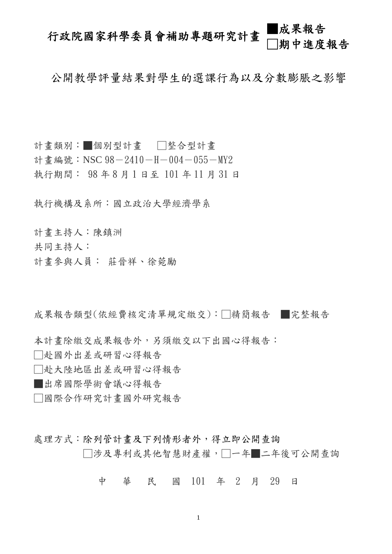## 行政院國家科學委員會補助專題研究計畫 ■成果報告 □期中進度報告

公開教學評量結果對學生的選課行為以及分數膨脹之影響

計畫類別:■個別型計畫 □整合型計畫 計書編號: NSC  $98-2410-H-004-055-MY2$ 執行期間: 98 年 8月1日至 101 年 11 月 31 日

執行機構及系所:國立政治大學經濟學系

計畫主持人:陳鎮洲

共同主持人:

計畫參與人員: 莊晉祥、徐菀勵

成果報告類型(依經費核定清單規定繳交):□精簡報告 ■完整報告

本計畫除繳交成果報告外,另須繳交以下出國心得報告:

□赴國外出差或研習心得報告

- □赴大陸地區出差或研習心得報告
- ■出席國際學術會議心得報告
- □國際合作研究計畫國外研究報告
- 處理方式:除列管計書及下列情形者外,得立即公開查詢 □涉及專利或其他智慧財產權,□一年■二年後可公開查詢

中 華 民 國 101 年 2 月 29 日

1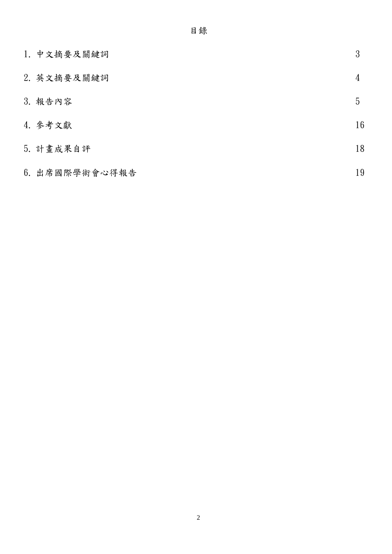| 1. 中文摘要及關鍵詞    | 3  |
|----------------|----|
| 2. 英文摘要及關鍵詞    | 4  |
| 3. 報告內容        | 5  |
| 4. 参考文獻        | 16 |
| 5. 計畫成果自評      | 18 |
| 6. 出席國際學術會心得報告 | 19 |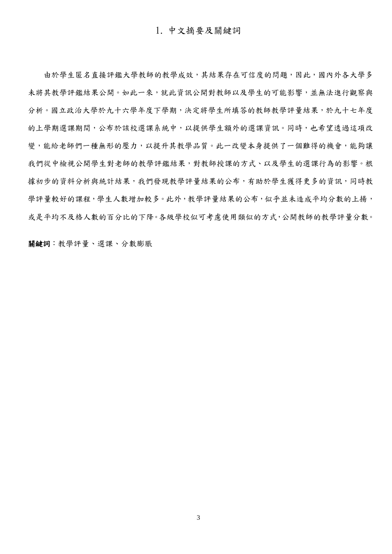由於學生匿名直接評鑑大學教師的教學成效,其結果存在可信度的問題,因此,國內外各大學多 未將其教學評鑑結果公開。如此一來,就此資訊公開對教師以及學生的可能影響,並無法進行觀察與 分析。國立政治大學於九十六學年度下學期,決定將學生所填答的教師教學評量結果,於九十七年度 的上學期選課期間,公布於該校選課系統中,以提供學生額外的選課資訊。同時,也希望透過這項改 變,能給老師們一種無形的壓力,以提升其教學品質。此一改變本身提供了一個難得的機會,能夠讓 我們從中檢視公開學生對老師的教學評鑑結果,對教師授課的方式、以及學生的選課行為的影響。根 據初步的資料分析與統計結果,我們發現教學評量結果的公布,有助於學生獲得更多的資訊,同時教 學評量較好的課程,學生人數增加較多。此外,教學評量結果的公布,似乎並未造成平均分數的上揚, 或是平均不及格人數的百分比的下降。各級學校似可考慮使用類似的方式,公開教師的教學評量分數。

關鍵詞:教學評量、選課、分數膨脹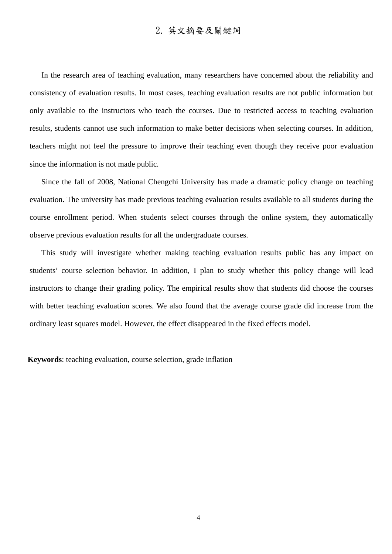In the research area of teaching evaluation, many researchers have concerned about the reliability and consistency of evaluation results. In most cases, teaching evaluation results are not public information but only available to the instructors who teach the courses. Due to restricted access to teaching evaluation results, students cannot use such information to make better decisions when selecting courses. In addition, teachers might not feel the pressure to improve their teaching even though they receive poor evaluation since the information is not made public.

Since the fall of 2008, National Chengchi University has made a dramatic policy change on teaching evaluation. The university has made previous teaching evaluation results available to all students during the course enrollment period. When students select courses through the online system, they automatically observe previous evaluation results for all the undergraduate courses.

This study will investigate whether making teaching evaluation results public has any impact on students' course selection behavior. In addition, I plan to study whether this policy change will lead instructors to change their grading policy. The empirical results show that students did choose the courses with better teaching evaluation scores. We also found that the average course grade did increase from the ordinary least squares model. However, the effect disappeared in the fixed effects model.

**Keywords**: teaching evaluation, course selection, grade inflation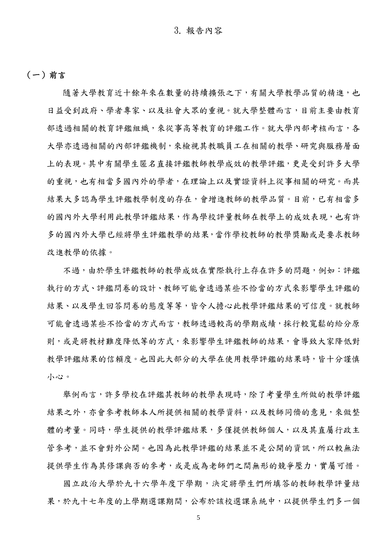### (一)前言

隨著大學教育近十餘年來在數量的持續擴張之下,有關大學教學品質的精進,也 日益受到政府、學者專家、以及社會大眾的重視。就大學整體而言,目前主要由教育 部透過相關的教育評鑑組織,來從事高等教育的評鑑工作。就大學內部考核而言,各 大學亦透過相關的內部評鑑機制,來檢視其教職員工在相關的教學、研究與服務層面 上的表現。其中有關學生匿名直接評鑑教師教學成效的教學評鑑,更是受到許多大學 的重視,也有相當多國內外的學者,在理論上以及實證資料上從事相關的研究。而其 結果大多認為學生評鑑教學制度的存在,會增進教師的教學品質。目前,已有相當多 的國內外大學利用此教學評鑑結果,作為學校評量教師在教學上的成效表現,也有許 多的國內外大學已經將學生評鑑教學的結果,當作學校教師的教學獎勵或是要求教師 改進教學的依據。

不過,由於學生評鑑教師的教學成效在實際執行上存在許多的問題,例如:評鑑 執行的方式、評鑑問卷的設計、教師可能會透過某些不恰當的方式來影響學生評鑑的 結果、以及學生回答問卷的態度等等,皆令人擔心此教學評鑑結果的可信度。就教師 可能會透過某些不恰當的方式而言,教師透過較高的學期成績,採行較寬鬆的給分原 則,或是將教材難度降低等的方式,來影響學生評鑑教師的結果,會導致大家降低對 教學評鑑結果的信賴度。也因此大部分的大學在使用教學評鑑的結果時,皆十分謹慎 小心。

舉例而言,許多學校在評鑑其教師的教學表現時,除了考量學生所做的教學評鑑 結果之外,亦會參考教師本人所提供相關的教學資料,以及教師同儕的意見,來做整 體的考量。同時,學生提供的教學評鑑結果,多僅提供教師個人,以及其直屬行政主 管參考,並不會對外公開。也因為此教學評鑑的結果並不是公開的資訊,所以較無法 提供學生作為其修課與否的參考,或是成為老師們之間無形的競爭壓力,實屬可惜。

國立政治大學於九十六學年度下學期,決定將學生們所填答的教師教學評量結 果,於九十七年度的上學期選課期間,公布於該校選課系統中,以提供學生們多一個

5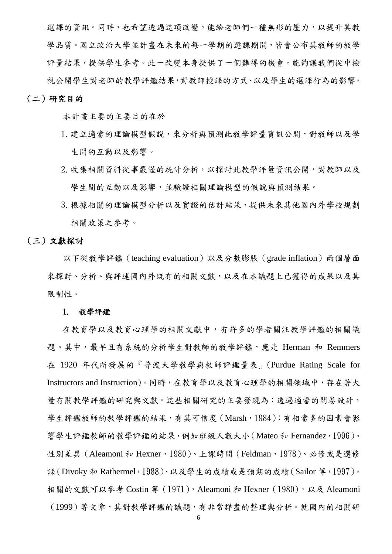選課的資訊。同時,也希望透過這項改變,能給老師們一種無形的壓力,以提升其教 學品質。國立政治大學並計畫在未來的每一學期的選課期間,皆會公布其教師的教學 評量結果,提供學生參考。此一改變本身提供了一個難得的機會,能夠讓我們從中檢 視公開學生對老師的教學評鑑結果,對教師授課的方式、以及學生的選課行為的影響。

#### (二)研究目的

本計畫主要的主要目的在於

- 1.建立適當的理論模型假說,來分析與預測此教學評量資訊公開,對教師以及學 生間的互動以及影響。
- 2. 收集相關資料從事嚴謹的統計分析,以探討此教學評量資訊公開,對教師以及 學生間的互動以及影響,並驗證相關理論模型的假說與預測結果。
- 3.根據相關的理論模型分析以及實證的估計結果,提供未來其他國內外學校規劃 相關政策之參考。

#### (三)文獻探討

以下從教學評鑑(teaching evaluation)以及分數膨脹(grade inflation)兩個層面 來探討、分析、與評述國內外既有的相關文獻,以及在本議題上已獲得的成果以及其 限制性。

#### 1. 教學評鑑

在教育學以及教育心理學的相關文獻中,有許多的學者關注教學評鑑的相關議 題。其中,最早且有系統的分析學生對教師的教學評鑑,應是 Herman 和 Remmers 在 1920 年代所發展的『普渡大學教學與教師評鑑量表』(Purdue Rating Scale for Instructors and Instruction)。同時,在教育學以及教育心理學的相關領域中,存在著大 量有關教學評鑑的研究與文獻。這些相關研究的主要發現為:透過適當的問卷設計, 學生評鑑教師的教學評鑑的結果,有其可信度 (Marsh, 1984); 有相當多的因素會影 響學生評鑑教師的教學評鑑的結果,例如班級人數大小(Mateo 和 Fernandez,1996)、 性別差異 (Aleamoni 和 Hexner, 1980)、上課時間 (Feldman, 1978)、必修或是選修 課(Divoky 和 Rathermel,1988)、以及學生的成績或是預期的成績(Sailor 等,1997)。 相關的文獻可以參考 Costin 等 (1971), Aleamoni 和 Hexner (1980), 以及 Aleamoni (1999)等文章,其對教學評鑑的議題,有非常詳盡的整理與分析。就國內的相關研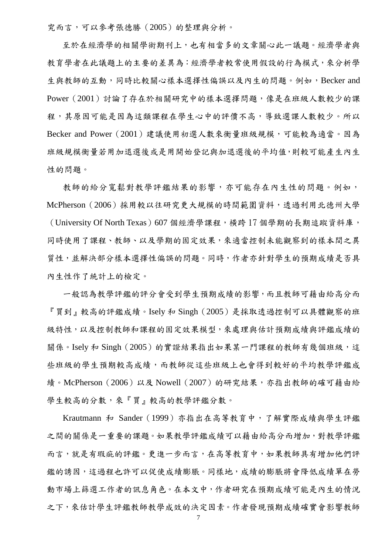究而言,可以參考張德勝(2005)的整理與分析。

至於在經濟學的相關學術期刊上,也有相當多的文章關心此一議題。經濟學者與 教育學者在此議題上的主要的差異為:經濟學者較常使用假設的行為模式,來分析學 生與教師的互動,同時比較關心樣本選擇性偏誤以及內生的問題。例如,Becker and Power (2001) 討論了存在於相關研究中的樣本選擇問題,像是在班級人數較少的課 程,其原因可能是因為這類課程在學生心中的評價不高,導致選課人數較少。所以 Becker and Power(2001)建議使用初選人數來衡量班級規模,可能較為適當。因為 班級規模衡量若用加退選後或是用開始登記與加退選後的平均值,則較可能產生內生 性的問題。

教師的給分寬鬆對教學評鑑結果的影響,亦可能存在內生性的問題。例如, McPherson(2006)採用較以往研究更大規模的時間範圍資料,透過利用北德州大學 (University Of North Texas) 607 個經濟學課程,橫跨 17 個學期的長期追蹤資料庫, 同時使用了課程、教師、以及學期的固定效果,來適當控制未能觀察到的樣本間之異 質性,並解決部分樣本選擇性偏誤的問題。同時,作者亦針對學生的預期成績是否具 內生性作了統計上的檢定。

一般認為教學評鑑的評分會受到學生預期成績的影響,而且教師可藉由給高分而 『買到』較高的評鑑成績。Isely 和 Singh(2005)是採取透過控制可以具體觀察的班 級特性,以及控制教師和課程的固定效果模型,來處理與估計預期成績與評鑑成績的 關係。Isely 和 Singh (2005)的實證結果指出如果某一門課程的教師有幾個班級,這 些班級的學生預期較高成績,而教師從這些班級上也會得到較好的平均教學評鑑成 績。McPherson (2006)以及 Nowell (2007)的研究結果,亦指出教師的確可藉由給 學生較高的分數,來『買』較高的教學評鑑分數。

Krautmann 和 Sander(1999)亦指出在高等教育中,了解實際成績與學生評鑑 之間的關係是一重要的課題。如果教學評鑑成績可以藉由給高分而增加,對教學評鑑 而言,就是有瑕疵的評鑑。更進一步而言,在高等教育中,如果教師具有增加他們評 鑑的誘因,這過程也許可以促使成績膨脹。同樣地,成績的膨脹將會降低成績單在勞 動市場上篩選工作者的訊息角色。在本文中,作者研究在預期成績可能是內生的情況 之下,來估計學生評鑑教師教學成效的決定因素。作者發現預期成績確實會影響教師

7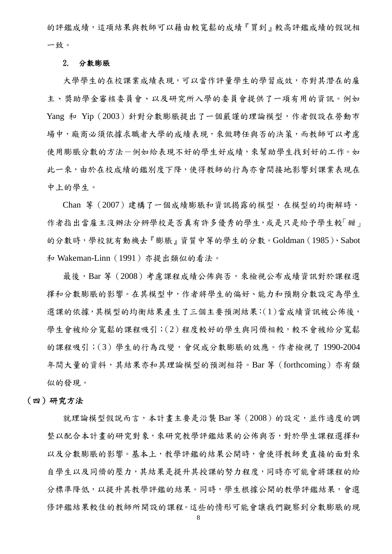的評鑑成績,這項結果與教師可以藉由較寬鬆的成績『買到』較高評鑑成績的假說相 一致。

#### 2. 分數膨脹

大學學生的在校課業成績表現,可以當作評量學生的學習成效,亦對其潛在的雇 主、獎助學金審核委員會、以及研究所入學的委員會提供了一項有用的資訊。例如 Yang 和 Yip(2003)針對分數膨脹提出了一個嚴謹的理論模型,作者假設在勞動市 場中,廠商必須依據求職者大學的成績表現,來做聘任與否的決策,而教師可以考慮 使用膨脹分數的方法一例如給表現不好的學生好成績,來幫助學生找到好的工作。如 此一來,由於在校成績的鑑別度下降,使得教師的行為亦會間接地影響到課業表現在 中上的學生。

Chan 等(2007)建構了一個成績膨脹和資訊揭露的模型,在模型的均衡解時, 作者指出當雇主沒辦法分辨學校是否真有許多優秀的學生,或是只是給予學生較「甜」 的分數時,學校就有動機去『膨脹』資質中等的學生的分數。Goldman(1985)、Sabot 和 Wakeman-Linn(1991)亦提出類似的看法。

最後,Bar 等 (2008) 考慮課程成績公佈與否,來檢視公布成績資訊對於課程選 擇和分數膨脹的影響。在其模型中,作者將學生的偏好、能力和預期分數設定為學生 選課的依據,其模型的均衡結果產生了三個主要預測結果:(1)當成績資訊被公佈後, 學生會被給分寬鬆的課程吸引;(2)程度較好的學生與同儕相較,較不會被給分寬鬆 的課程吸引;(3)學生的行為改變,會促成分數膨脹的效應。作者檢視了 1990-2004 年間大量的資料,其結果亦和其理論模型的預測相符。Bar 等(forthcoming)亦有類 似的發現。

#### (四)研究方法

就理論模型假說而言,本計畫主要是沿襲 Bar 等 (2008)的設定,並作適度的調 整以配合本計畫的研究對象,來研究教學評鑑結果的公佈與否,對於學生課程選擇和 以及分數膨脹的影響。基本上,教學評鑑的結果公開時,會使得教師更直接的面對來 自學生以及同儕的壓力,其結果是提升其授課的努力程度,同時亦可能會將課程的給 分標準降低,以提升其教學評鑑的結果。同時,學生根據公開的教學評鑑結果,會選 修評鑑結果較佳的教師所開設的課程。這些的情形可能會讓我們觀察到分數膨脹的現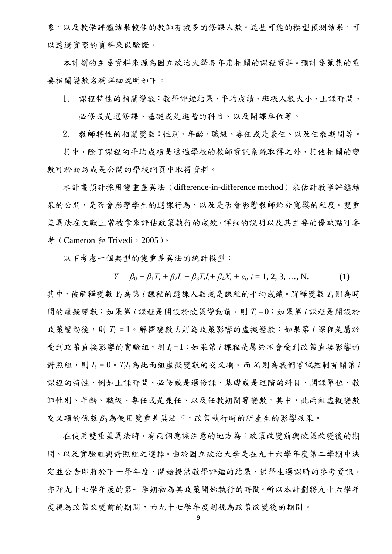象,以及教學評鑑結果較佳的教師有較多的修課人數。這些可能的模型預測結果,可 以透過實際的資料來做驗證。

本計劃的主要資料來源為國立政治大學各年度相關的課程資料。預計要蒐集的重 要相關變數名稱詳細說明如下。

1. 課程特性的相關變數:教學評鑑結果、平均成績、班級人數大小、上課時間、 必修或是選修課、基礎或是進階的科目、以及開課單位等。

2. 教師特性的相關變數:性別、年齡、職級、專任或是兼任、以及任教期間等。

其中,除了課程的平均成績是透過學校的教師資訊系統取得之外,其他相關的變 數可於面訪或是公開的學校網頁中取得資料。

本計畫預計採用雙重差異法(difference-in-difference method)來估計教學評鑑結 果的公開,是否會影響教師給分寬鬆的程度。雙重 差異法在文獻上常被拿來評估政策執行的成效,詳細的說明以及其主要的優缺點可參 考 (Cameron 和 Trivedi, 2005)。

以下考慮一個典型的雙重差異法的統計模型:

 $Y_i = \beta_0 + \beta_1 T_i + \beta_2 I_i + \beta_3 T_i I_i + \beta_4 X_i + \varepsilon_i, i = 1, 2, 3, ..., N.$  (1) 其中,被解釋變數 *Yi*為第 *i* 課程的選課人數或是課程的平均成績。解釋變數 *Ti*則為時 間的虛擬變數:如果第 *i* 課程是開設於政策變動前,則 *Ti* = 0;如果第 *i* 課程是開設於 政策變動後,則 T<sub>i</sub> = 1。解釋變數 I<sub>i</sub>則為政策影響的虛擬變數:如果第 i 課程是屬於 受到政策直接影響的實驗組,則 *Ii* = 1;如果第 *i* 課程是屬於不會受到政策直接影響的 對照組,則 $I_i = 0$ 。 $T_i I_i$ 為此兩組虛擬變數的交叉項。而 $X_i$ 則為我們嘗試控制有關第 $i$ 課程的特性,例如上課時間、必修或是選修課、基礎或是進階的科目、開課單位、教 師性別、年齡、職級、專任或是兼任、以及任教期間等變數。其中,此兩組虛擬變數 交叉項的係數 *β*3為使用雙重差異法下,政策執行時的所產生的影響效果。

在使用雙重差異法時,有兩個應該注意的地方為:政策改變前與政策改變後的期 間、以及實驗組與對照組之選擇。由於國立政治大學是在九十六學年度第二學期中決 定並公告即將於下一學年度,開始提供教學評鑑的結果,供學生選課時的參考資訊, 亦即九十七學年度的第一學期初為其政策開始執行的時間。所以本計劃將九十六學年 度視為政策改變前的期間,而九十七學年度則視為政策改變後的期間。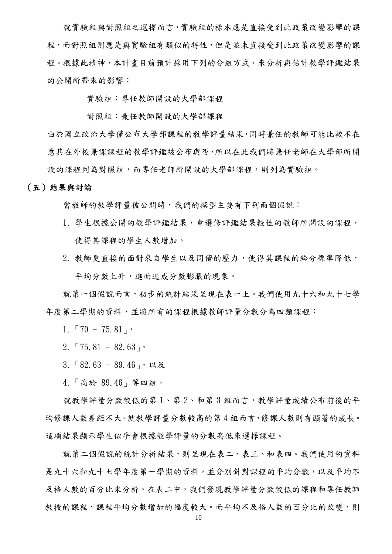就實驗組與對照組之選擇而言,實驗組的樣本應是直接受到此政策改變影響的課 程,而對照組則應是與實驗組有類似的特性,但是並未直接受到此政策改變影響的課 程。根據此精神,本計畫目前預計採用下列的分組方式,來分析與估計教學評鑑結果 的公開所帶來的影響:

實驗組:專任教師開設的大學部課程

對照組:兼任教師開設的大學部課程

由於國立政治大學僅公布大學部課程的教學評量結果,同時兼任的教師可能比較不在 意其在外校兼課課程的教學評鑑被公布與否,所以在此我們將兼任老師在大學部所開 設的課程列為對照組,而專任老師所開設的大學部課程,則列為實驗組。

#### (五)結果與討論

當教師的教學評量被公開時,我們的模型主要有下列兩個假說:

- 1. 學生根據公開的教學評鑑結果,會選修評鑑結果較佳的教師所開設的課程, 使得其課程的學生人數增加。
- 2. 教師更直接的面對來自學生以及同儕的壓力,使得其課程的給分標準降低, 平均分數上升,進而造成分數膨脹的現象。

就第一個假說而言,初步的統計結果呈現在表一上。我們使用九十六和九十七學 年度第二學期的資料,並將所有的課程根據教師評量分數分為四類課程:

 $1. 70 - 75.81$ 

- 2.  $\lceil 75.81 82.63 \rceil$
- $3.582.63 89.46$ , 以及
- 4.「高於 89.46」等四組。

就教學評量分數較低的第1、第2、和第3組而言,教學評量成績公布前後的平 均修課人數差距不大。就教學評量分數較高的第 4 組而言,修課人數則有顯著的成長。 這項結果顯示學生似乎會根據教學評量的分數高低來選擇課程。

就第二個假說的統計分析結果,則呈現在表二、表三、和表四。我們使用的資料 是九十六和九十七學年度第一學期的資料,並分別針對課程的平均分數,以及平均不 及格人數的百分比來分析。在表二中,我們發現教學評量分數較低的課程和專任教師 教授的課程,課程平均分數增加的幅度較大。而平均不及格人數的百分比的改變,則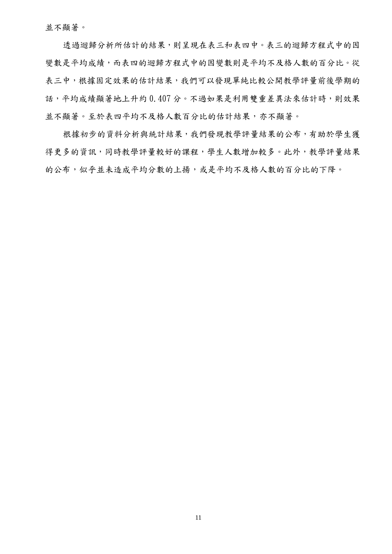並不顯著。

透過迴歸分析所估計的結果,則呈現在表三和表四中。表三的迴歸方程式中的因 變數是平均成績,而表四的迴歸方程式中的因變數則是平均不及格人數的百分比。從 表三中,根據固定效果的估計結果,我們可以發現單純比較公開教學評量前後學期的 話,平均成績顯著地上升約 0.407 分。不過如果是利用雙重差異法來估計時,則效果 並不顯著。至於表四平均不及格人數百分比的估計結果,亦不顯著。

根據初步的資料分析與統計結果,我們發現教學評量結果的公布,有助於學生獲 得更多的資訊,同時教學評量較好的課程,學生人數增加較多。此外,教學評量結果 的公布,似乎並未造成平均分數的上揚,或是平均不及格人數的百分比的下降。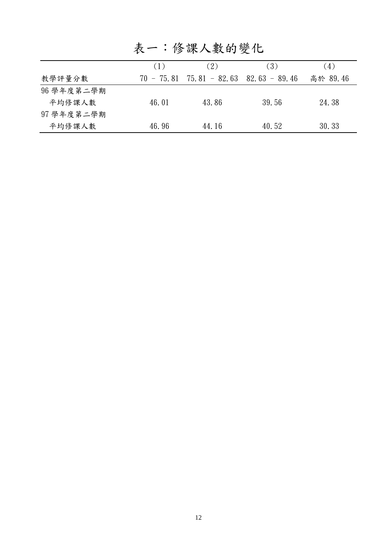|            | (1)          | (2)                             | (3)   | (4)      |
|------------|--------------|---------------------------------|-------|----------|
| 教學評量分數     | $70 - 75.81$ | $75.81 - 82.63$ $82.63 - 89.46$ |       | 高於 89.46 |
| 96 學年度第二學期 |              |                                 |       |          |
| 平均修課人數     | 46.01        | 43.86                           | 39.56 | 24.38    |
| 97 學年度第二學期 |              |                                 |       |          |
| 平均修課人數     | 46.96        | 44.16                           | 40.52 | 30.33    |

表一:修課人數的變化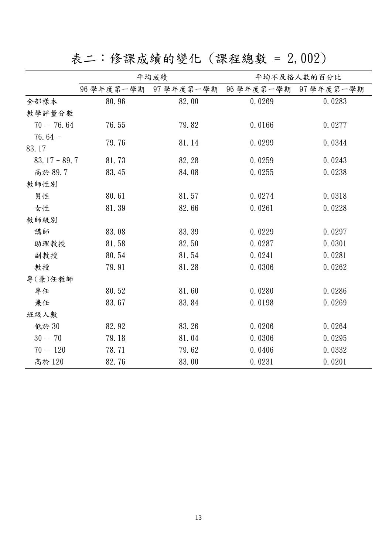表二:修課成績的變化 (課程總數 = 2,002)

|                |            | 平均成績       |                       | 平均不及格人數的百分比 |
|----------------|------------|------------|-----------------------|-------------|
|                | 96 學年度第一學期 | 97 學年度第一學期 | 96 學年度第一學期 97 學年度第一學期 |             |
| 全部樣本           | 80.96      | 82.00      | 0.0269                | 0.0283      |
| 教學評量分數         |            |            |                       |             |
| $70 - 76.64$   | 76.55      | 79.82      | 0.0166                | 0.0277      |
| $76.64 -$      | 79.76      |            |                       |             |
| 83.17          |            | 81.14      | 0.0299                | 0.0344      |
| $83.17 - 89.7$ | 81.73      | 82.28      | 0.0259                | 0.0243      |
| 高於 89.7        | 83.45      | 84.08      | 0.0255                | 0.0238      |
| 教師性別           |            |            |                       |             |
| 男性             | 80.61      | 81.57      | 0.0274                | 0.0318      |
| 女性             | 81.39      | 82.66      | 0.0261                | 0.0228      |
| 教師級別           |            |            |                       |             |
| 講師             | 83.08      | 83.39      | 0.0229                | 0.0297      |
| 助理教授           | 81.58      | 82.50      | 0.0287                | 0.0301      |
| 副教授            | 80.54      | 81.54      | 0.0241                | 0.0281      |
| 教授             | 79.91      | 81.28      | 0.0306                | 0.0262      |
| 專(兼)任教師        |            |            |                       |             |
| 專任             | 80.52      | 81.60      | 0.0280                | 0.0286      |
| 兼任             | 83.67      | 83.84      | 0.0198                | 0.0269      |
| 班級人數           |            |            |                       |             |
| 低於 30          | 82.92      | 83.26      | 0.0206                | 0.0264      |
| $30 - 70$      | 79.18      | 81.04      | 0.0306                | 0.0295      |
| $70 - 120$     | 78.71      | 79.62      | 0.0406                | 0.0332      |
| 高於 120         | 82.76      | 83.00      | 0.0231                | 0.0201      |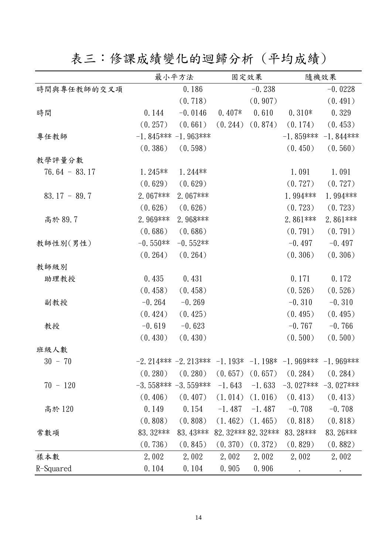表三:修課成績變化的迴歸分析 (平均成績)

|                 |            | 最小平方法                |          | 固定效果                |                                                                     | 隨機效果         |
|-----------------|------------|----------------------|----------|---------------------|---------------------------------------------------------------------|--------------|
| 時間與專任教師的交叉項     |            | 0.186                |          | $-0.238$            |                                                                     | $-0.0228$    |
|                 |            | (0.718)              |          | (0.907)             |                                                                     | (0.491)      |
| 時間              | 0.144      | $-0.0146$            | $0.407*$ | 0.610               | $0.310*$                                                            | 0.329        |
|                 | (0.257)    | (0.661)              |          | $(0.244)$ $(0.874)$ | (0.174)                                                             | (0.453)      |
| 專任教師            |            | $-1.845***-1.963***$ |          |                     | $-1.859***$                                                         | $-1.844***$  |
|                 | (0.386)    | (0.598)              |          |                     | (0.450)                                                             | (0.560)      |
| 教學評量分數          |            |                      |          |                     |                                                                     |              |
| $76.64 - 83.17$ | $1.245**$  | $1.244**$            |          |                     | 1.091                                                               | 1.091        |
|                 | (0.629)    | (0.629)              |          |                     | (0.727)                                                             | (0.727)      |
| $83.17 - 89.7$  | 2.067***   | 2.067***             |          |                     | 1.994 ***                                                           | 1.994***     |
|                 | (0.626)    | (0.626)              |          |                     | (0.723)                                                             | (0.723)      |
| 高於 89.7         | 2.969***   | 2.968***             |          |                     | 2.861 ***                                                           | 2.861 ***    |
|                 | (0.686)    | (0.686)              |          |                     | (0.791)                                                             | (0.791)      |
| 教師性別(男性)        | $-0.550**$ | $-0.552**$           |          |                     | $-0.497$                                                            | $-0.497$     |
|                 | (0.264)    | (0.264)              |          |                     | (0.306)                                                             | (0.306)      |
| 教師級別            |            |                      |          |                     |                                                                     |              |
| 助理教授            | 0.435      | 0.431                |          |                     | 0.171                                                               | 0.172        |
|                 | (0.458)    | (0.458)              |          |                     | (0.526)                                                             | (0.526)      |
| 副教授             | $-0.264$   | $-0.269$             |          |                     | $-0.310$                                                            | $-0.310$     |
|                 | (0.424)    | (0.425)              |          |                     | (0.495)                                                             | (0.495)      |
| 教授              | $-0.619$   | $-0.623$             |          |                     | $-0.767$                                                            | $-0.766$     |
|                 | (0.430)    | (0.430)              |          |                     | (0.500)                                                             | (0.500)      |
| 班級人數            |            |                      |          |                     |                                                                     |              |
| $30 - 70$       |            |                      |          |                     | $-2.214***$ $-2.213***$ $-1.193*$ $-1.198*$ $-1.969***$ $-1.969***$ |              |
|                 | (0.280)    | (0.280)              | (0.657)  | (0.657)             | (0.284)                                                             | (0.284)      |
| $70 - 120$      |            | $-3.558***-3.559***$ | $-1.643$ | $-1.633$            | $-3.027$ ***                                                        | $-3.027$ *** |
|                 | (0.406)    | (0.407)              | (1.014)  | (1.016)             | (0.413)                                                             | (0.413)      |
| 高於 120          | 0.149      | 0.154                | $-1.487$ | $-1.487$            | $-0.708$                                                            | $-0.708$     |
|                 | (0.808)    | (0.808)              | (1.462)  | (1.465)             | (0.818)                                                             | (0.818)      |
| 常數項             | 83.32***   | 83.43***             |          | 82.32*** 82.32***   | 83.28 ***                                                           | 83.26***     |
|                 | (0.736)    | (0.845)              | (0.370)  | (0.372)             | (0.829)                                                             | (0.882)      |
| 樣本數             | 2,002      | 2,002                | 2,002    | 2,002               | 2,002                                                               | 2,002        |
| R-Squared       | 0.104      | 0.104                | 0.905    | 0.906               |                                                                     |              |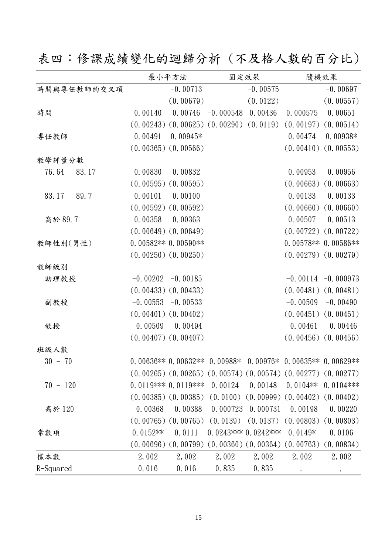表四:修課成績變化的迴歸分析 (不及格人數的百分比)

|                 | 最小平方法                   |            |                                                 | 固定效果                               |                                                                         | 隨機效果                    |
|-----------------|-------------------------|------------|-------------------------------------------------|------------------------------------|-------------------------------------------------------------------------|-------------------------|
| 時間與專任教師的交叉項     |                         | $-0.00713$ |                                                 | $-0.00575$                         |                                                                         | $-0.00697$              |
|                 |                         | (0.00679)  |                                                 | (0.0122)                           |                                                                         | (0.00557)               |
| 時間              | 0.00140                 | 0.00746    | $-0.000548$                                     | 0.00436                            | 0.000575                                                                | 0.00651                 |
|                 |                         |            | $(0.00243)$ $(0.00625)$ $(0.00290)$ $(0.0119)$  |                                    | (0.00197)                                                               | (0.00514)               |
| 專任教師            | 0.00491                 | $0.00945*$ |                                                 |                                    | 0.00474                                                                 | $0.00938*$              |
|                 | $(0.00365)$ $(0.00566)$ |            |                                                 |                                    | (0.00410)                                                               | (0.00553)               |
| 教學評量分數          |                         |            |                                                 |                                    |                                                                         |                         |
| $76.64 - 83.17$ | 0.00830                 | 0.00832    |                                                 |                                    | 0.00953                                                                 | 0.00956                 |
|                 | $(0.00595)$ $(0.00595)$ |            |                                                 |                                    |                                                                         | $(0.00663)$ $(0.00663)$ |
| $83.17 - 89.7$  | 0.00101                 | 0.00100    |                                                 |                                    | 0.00133                                                                 | 0.00133                 |
|                 | $(0.00592)$ $(0.00592)$ |            |                                                 |                                    |                                                                         | $(0.00660)$ $(0.00660)$ |
| 高於 89.7         | 0.00358                 | 0.00363    |                                                 |                                    | 0.00507                                                                 | 0.00513                 |
|                 | $(0.00649)$ $(0.00649)$ |            |                                                 |                                    |                                                                         | $(0.00722)$ $(0.00722)$ |
| 教師性別(男性)        | $0.00582**0.00590**$    |            |                                                 |                                    |                                                                         | $0.00578**0.00586**$    |
|                 | $(0.00250)$ $(0.00250)$ |            |                                                 |                                    |                                                                         | $(0.00279)$ $(0.00279)$ |
| 教師級別            |                         |            |                                                 |                                    |                                                                         |                         |
| 助理教授            | $-0.00202 -0.00185$     |            |                                                 |                                    |                                                                         | $-0.00114 - 0.000973$   |
|                 | $(0.00433)$ $(0.00433)$ |            |                                                 |                                    |                                                                         | $(0.00481)$ $(0.00481)$ |
| 副教授             | $-0.00553 -0.00533$     |            |                                                 |                                    | $-0.00509$                                                              | $-0.00490$              |
|                 | $(0.00401)$ $(0.00402)$ |            |                                                 |                                    |                                                                         | $(0.00451)$ $(0.00451)$ |
| 教授              | $-0.00509 - 0.00494$    |            |                                                 |                                    | $-0.00461$                                                              | $-0.00446$              |
|                 | $(0.00407)$ $(0.00407)$ |            |                                                 |                                    |                                                                         | $(0.00456)$ $(0.00456)$ |
| 班級人數            |                         |            |                                                 |                                    |                                                                         |                         |
| $30 - 70$       |                         |            |                                                 |                                    | $0.00636**0.00632**0.00988*0.00976*0.00635**0.00629**$                  |                         |
|                 |                         |            |                                                 |                                    | $(0.00265)$ $(0.00265)$ $(0.00574)$ $(0.00574)$ $(0.00277)$ $(0.00277)$ |                         |
| $70 - 120$      | $0.0119***0.0119***$    |            | $0.\,\allowbreak 00124$                         | 0.00148                            | $0.0104**$                                                              | $0.0104$ ***            |
|                 | $(0.00385)$ $(0.00385)$ |            |                                                 | $(0.0100)$ $(0.00999)$ $(0.00402)$ |                                                                         | (0.00402)               |
| 高於 120          | $-0.00368$              |            | $-0.00388 - 0.000723 - 0.000731 - 0.00198$      |                                    |                                                                         | $-0.00220$              |
|                 | $(0.00765)$ $(0.00765)$ |            |                                                 | $(0.0139)$ $(0.0137)$              | (0.00803)                                                               | (0.00803)               |
| 常數項             | $0.0152**$              | 0.0111     |                                                 | 0.0243*** 0.0242***                | $0.0149*$                                                               | 0.0106                  |
|                 | (0.00696)               |            | $(0.00799)$ $(0.00360)$ $(0.00364)$ $(0.00763)$ |                                    |                                                                         | (0.00834)               |
| 樣本數             | 2,002                   | 2,002      | 2,002                                           | 2,002                              | 2,002                                                                   | 2,002                   |
| R-Squared       | 0.016                   | 0.016      | 0.835                                           | 0.835                              |                                                                         |                         |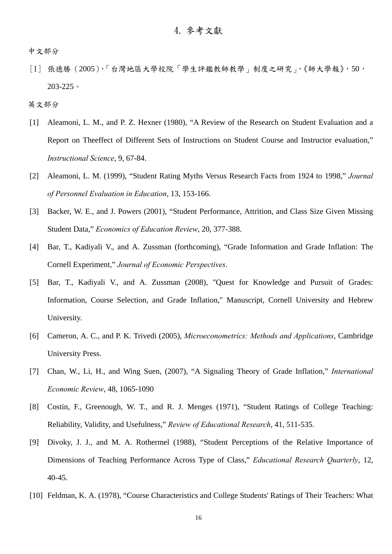中文部分

[1] 張德勝(2005),「台灣地區大學校院「學生評鑑教師教學」制度之研究」,《師大學報》,50, 203-225。

英文部分

- [1] Aleamoni, L. M., and P. Z. Hexner (1980), "A Review of the Research on Student Evaluation and a Report on Theeffect of Different Sets of Instructions on Student Course and Instructor evaluation," *Instructional Science*, 9, 67-84.
- [2] Aleamoni, L. M. (1999), "Student Rating Myths Versus Research Facts from 1924 to 1998," *Journal of Personnel Evaluation in Education*, 13, 153-166.
- [3] Backer, W. E., and J. Powers (2001), "Student Performance, Attrition, and Class Size Given Missing Student Data," *Economics of Education Review*, 20, 377-388.
- [4] Bar, T., Kadiyali V., and A. Zussman (forthcoming), "Grade Information and Grade Inflation: The Cornell Experiment," *Journal of Economic Perspectives*.
- [5] Bar, T., Kadiyali V., and A. Zussman (2008), "Quest for Knowledge and Pursuit of Grades: Information, Course Selection, and Grade Inflation," Manuscript, Cornell University and Hebrew University.
- [6] Cameron, A. C., and P. K. Trivedi (2005), *Microeconometrics: Methods and Applications*, Cambridge University Press.
- [7] Chan, W., Li, H., and Wing Suen, (2007), "A Signaling Theory of Grade Inflation," *International Economic Review*, 48, 1065-1090
- [8] Costin, F., Greenough, W. T., and R. J. Menges (1971), "Student Ratings of College Teaching: Reliability, Validity, and Usefulness," *Review of Educational Research*, 41, 511-535.
- [9] Divoky, J. J., and M. A. Rothermel (1988), "Student Perceptions of the Relative Importance of Dimensions of Teaching Performance Across Type of Class," *Educational Research Quarterly*, 12, 40-45.
- [10] Feldman, K. A. (1978), "Course Characteristics and College Students' Ratings of Their Teachers: What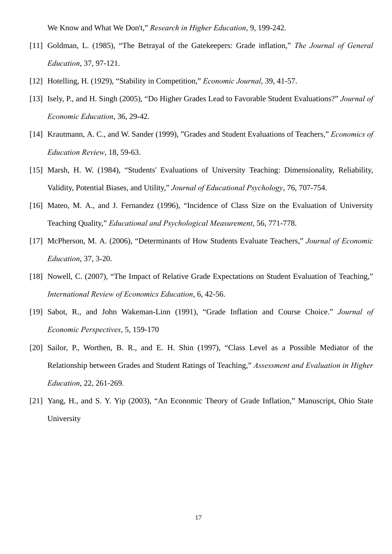We Know and What We Don't," *Research in Higher Education*, 9, 199-242.

- [11] Goldman, L. (1985), "The Betrayal of the Gatekeepers: Grade inflation," *The Journal of General Education*, 37, 97-121.
- [12] Hotelling, H. (1929), "Stability in Competition," *Economic Journal*, 39, 41-57.
- [13] Isely, P., and H. Singh (2005), "Do Higher Grades Lead to Favorable Student Evaluations?" *Journal of Economic Education*, 36, 29-42.
- [14] Krautmann, A. C., and W. Sander (1999), "Grades and Student Evaluations of Teachers," *Economics of Education Review*, 18, 59-63.
- [15] Marsh, H. W. (1984), "Students' Evaluations of University Teaching: Dimensionality, Reliability, Validity, Potential Biases, and Utility," *Journal of Educational Psychology*, 76, 707-754.
- [16] Mateo, M. A., and J. Fernandez (1996), "Incidence of Class Size on the Evaluation of University Teaching Quality," *Educational and Psychological Measurement*, 56, 771-778.
- [17] McPherson, M. A. (2006), "Determinants of How Students Evaluate Teachers," *Journal of Economic Education*, 37, 3-20.
- [18] Nowell, C. (2007), "The Impact of Relative Grade Expectations on Student Evaluation of Teaching," *International Review of Economics Education*, 6, 42-56.
- [19] Sabot, R., and John Wakeman-Linn (1991), "Grade Inflation and Course Choice." *Journal of Economic Perspectives*, 5, 159-170
- [20] Sailor, P., Worthen, B. R., and E. H. Shin (1997), "Class Level as a Possible Mediator of the Relationship between Grades and Student Ratings of Teaching," *Assessment and Evaluation in Higher Education*, 22, 261-269.
- [21] Yang, H., and S. Y. Yip (2003), "An Economic Theory of Grade Inflation," Manuscript, Ohio State University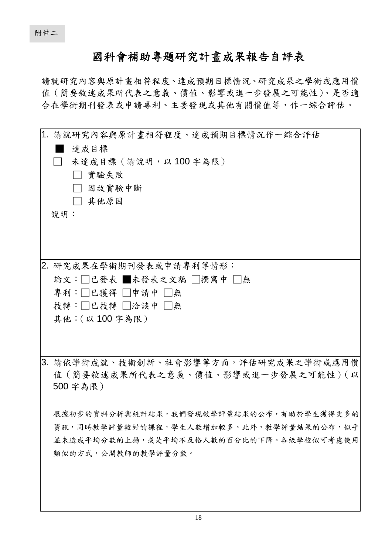## 國科會補助專題研究計畫成果報告自評表

請就研究內容與原計畫相符程度、達成預期目標情況、研究成果之學術或應用價 值(簡要敘述成果所代表之意義、價值、影響或進一步發展之可能性)、是否適 合在學術期刊發表或申請專利、主要發現或其他有關價值等,作一綜合評估。

| 1. 請就研究內容與原計畫相符程度、達成預期目標情況作一綜合評估<br>達成目標<br>未達成目標 (請說明,以100字為限)<br>實驗失敗<br>因故實驗中斷<br>□ 其他原因<br>說明:                                                                                                                                             |
|------------------------------------------------------------------------------------------------------------------------------------------------------------------------------------------------------------------------------------------------|
| 2. 研究成果在學術期刊發表或申請專利等情形:<br>論文:□已發表 ■未發表之文稿 □撰寫中 □無<br>專利:□已獲得 □申請中 □無<br>技轉:□已技轉 □洽談中 □無<br>其他: (以100字為限)                                                                                                                                      |
| 3. 請依學術成就、技術創新、社會影響等方面,評估研究成果之學術或應用價<br>值 (簡要敘述成果所代表之意義、價值、影響或進一步發展之可能性) (以<br>500 字為限)<br>根據初步的資料分析與統計結果,我們發現教學評量結果的公布,有助於學生獲得更多的<br>資訊,同時教學評量較好的課程,學生人數增加較多。此外,教學評量結果的公布,似乎<br>並未造成平均分數的上揚,或是平均不及格人數的百分比的下降。各級學校似可考慮使用<br>類似的方式,公開教師的教學評量分數。 |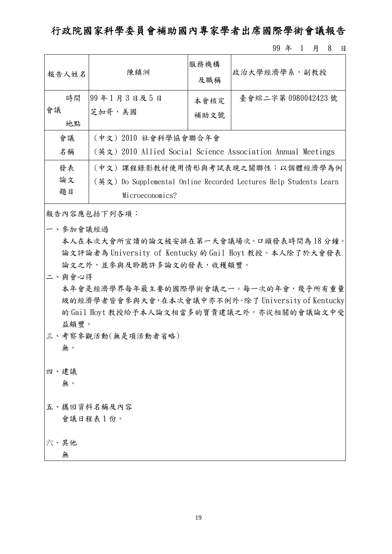行政院國家科學委員會補助國內專家學者出席國際學術會議報告

99 年 1 月 8 日

|                                                                         | 報告人姓名 | 陳鎮洲                                                         | 服務機構<br>及職稱 | 政治大學經濟學系, 副教授       |  |  |  |
|-------------------------------------------------------------------------|-------|-------------------------------------------------------------|-------------|---------------------|--|--|--|
|                                                                         | 時間    | 99年1月3日及5日                                                  | 本會核定        | 臺會綜二字第 0980042423 號 |  |  |  |
| 會議                                                                      |       | 芝加哥,美國                                                      | 補助文號        |                     |  |  |  |
|                                                                         | 地點    |                                                             |             |                     |  |  |  |
| 會議                                                                      |       | (中文) 2010 社會科學協會聯合年會                                        |             |                     |  |  |  |
|                                                                         | 名稱    | (英文) 2010 Allied Social Science Association Annual Meetings |             |                     |  |  |  |
| 發表<br>(中文)課程錄影教材使用情形與考試表現之關聯性:以個體經濟學為例                                  |       |                                                             |             |                     |  |  |  |
| 論文<br>(英文) Do Supplemental Online Recorded Lectures Help Students Learn |       |                                                             |             |                     |  |  |  |
| 題目<br>Microeconomics?                                                   |       |                                                             |             |                     |  |  |  |

報告內容應包括下列各項:

一、參加會議經過

本人在本次大會所宣讀的論文被安排在第一天會議場次。口頭發表時間為 18 分鐘。 論文評論者為 University of Kentucky 的 Gail Hoyt 教授。本人除了於大會發表 論文之外,並參與及聆聽許多論文的發表,收穫頗豐。

二、與會心得

本年會是經濟學界每年最主要的國際學術會議之一。每一次的年會,幾乎所有重量 級的經濟學者皆會參與大會,在本次會議中亦不例外。除了 University of Kentucky 的 Gail Hoyt 教授給予本人論文相當多的寶貴建議之外,亦從相關的會議論文中受 益頗豐。

三、考察參觀活動(無是項活動者省略)

無。

四、建議

無。

五、攜回資料名稱及內容 會議日程表 1 份。

六、其他

無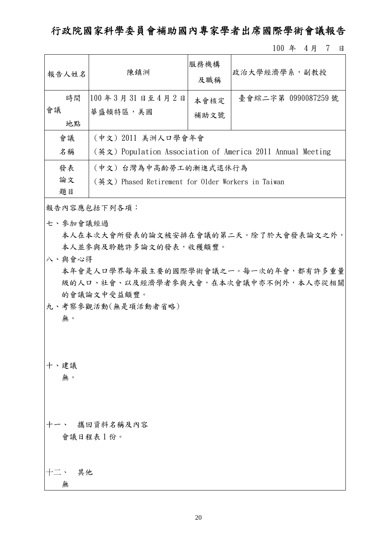行政院國家科學委員會補助國內專家學者出席國際學術會議報告

100 年 4 月 7 日

| 報告人姓名                                                    | 陳鎮洲                   | 服務機構<br>及職稱 | 政治大學經濟學系, 副教授                                             |  |  |
|----------------------------------------------------------|-----------------------|-------------|-----------------------------------------------------------|--|--|
| 時間                                                       | 100年3月31日至4月2日        | 本會核定        | 臺會綜二字第 0990087259號                                        |  |  |
| 會議<br>華盛頓特區,美國                                           |                       | 補助文號        |                                                           |  |  |
| 地點                                                       |                       |             |                                                           |  |  |
| 會議                                                       | (中文) 2011 美洲人口學會年會    |             |                                                           |  |  |
| 名稱                                                       |                       |             | (英文)Population Association of America 2011 Annual Meeting |  |  |
| 發表                                                       | (中文) 台灣為中高齡勞工的漸進式退休行為 |             |                                                           |  |  |
| 論文<br>(英文) Phased Retirement for Older Workers in Taiwan |                       |             |                                                           |  |  |
| 題目                                                       |                       |             |                                                           |  |  |

報告內容應包括下列各項:

七、參加會議經過

本人在本次大會所發表的論文被安排在會議的第二天。除了於大會發表論文之外, 本人並參與及聆聽許多論文的發表,收穫頗豐。

八、與會心得

本年會是人口學界每年最主要的國際學術會議之一。每一次的年會,都有許多重量 級的人口、社會、以及經濟學者參與大會,在本次會議中亦不例外,本人亦從相關 的會議論文中受益頗豐。

九、考察參觀活動(無是項活動者省略)

無。

十、建議

無。

十一、 攜回資料名稱及內容 會議日程表 1 份。

十二、 其他 無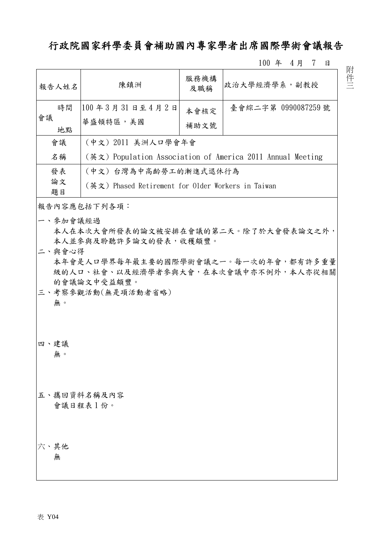## 行政院國家科學委員會補助國內專家學者出席國際學術會議報告

100 年 4 月 7 日

| 報告人姓名      | 陳鎮洲                                                                                                                                                                                                      | 服務機構<br>及職稱 | 政治大學經濟學系,副教授                                               |  |  |  |  |
|------------|----------------------------------------------------------------------------------------------------------------------------------------------------------------------------------------------------------|-------------|------------------------------------------------------------|--|--|--|--|
| 時間         | 100年3月31日至4月2日                                                                                                                                                                                           | 本會核定        | 臺會綜二字第 0990087259號                                         |  |  |  |  |
| 會議<br>地點   | 華盛頓特區,美國                                                                                                                                                                                                 | 補助文號        |                                                            |  |  |  |  |
| 會議         | (中文) 2011 美洲人口學會年會                                                                                                                                                                                       |             |                                                            |  |  |  |  |
| 名稱         |                                                                                                                                                                                                          |             | (英文) Population Association of America 2011 Annual Meeting |  |  |  |  |
| 發表         | (中文) 台灣為中高齡勞工的漸進式退休行為                                                                                                                                                                                    |             |                                                            |  |  |  |  |
| 論文<br>題目   | (英文) Phased Retirement for Older Workers in Taiwan                                                                                                                                                       |             |                                                            |  |  |  |  |
|            | 報告內容應包括下列各項:                                                                                                                                                                                             |             |                                                            |  |  |  |  |
| 無。         | 一、參加會議經過<br>本人在本次大會所發表的論文被安排在會議的第二天。除了於大會發表論文之外,<br>本人並參與及聆聽許多論文的發表,收穫頗豐。<br>二、與會心得<br>本年會是人口學界每年最主要的國際學術會議之一。每一次的年會,都有許多重量<br>級的人口、社會、以及經濟學者參與大會,在本次會議中亦不例外,本人亦從相關<br>的會議論文中受益頗豐。<br>三、考察參觀活動(無是項活動者省略) |             |                                                            |  |  |  |  |
| 四、建議<br>無。 |                                                                                                                                                                                                          |             |                                                            |  |  |  |  |
|            | 五、攜回資料名稱及內容<br>會議日程表1份。                                                                                                                                                                                  |             |                                                            |  |  |  |  |
| 六、其他<br>無  |                                                                                                                                                                                                          |             |                                                            |  |  |  |  |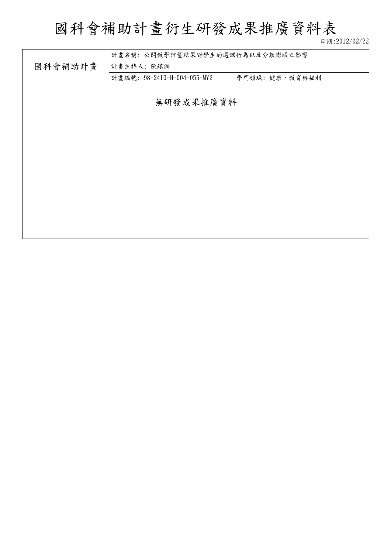# 國科會補助計畫衍生研發成果推廣資料表

日期:2012/02/22

|         | 計畫名稱:公開教學評量結果對學生的選課行為以及分數膨脹之影響 |               |  |  |  |  |  |
|---------|--------------------------------|---------------|--|--|--|--|--|
| 國科會補助計畫 | 計畫主持人:陳鎮洲                      |               |  |  |  |  |  |
|         | 計畫編號: 98-2410-H-004-055-MY2    | 學門領域:健康、教育與福利 |  |  |  |  |  |
|         |                                |               |  |  |  |  |  |
|         | 無研發成果推廣資料                      |               |  |  |  |  |  |
|         |                                |               |  |  |  |  |  |
|         |                                |               |  |  |  |  |  |
|         |                                |               |  |  |  |  |  |
|         |                                |               |  |  |  |  |  |
|         |                                |               |  |  |  |  |  |
|         |                                |               |  |  |  |  |  |
|         |                                |               |  |  |  |  |  |
|         |                                |               |  |  |  |  |  |
|         |                                |               |  |  |  |  |  |
|         |                                |               |  |  |  |  |  |
|         |                                |               |  |  |  |  |  |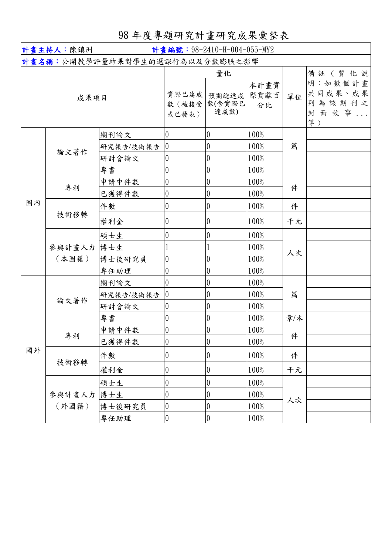98 年度專題研究計畫研究成果彙整表

|      | 計畫主持人:陳鎮洲<br>計畫編號: 98-2410-H-004-055-MY2 |                                |                               |                    |         |                                                      |  |
|------|------------------------------------------|--------------------------------|-------------------------------|--------------------|---------|------------------------------------------------------|--|
|      |                                          | 計畫名稱:公開教學評量結果對學生的選課行為以及分數膨脹之影響 |                               |                    |         |                                                      |  |
| 成果項目 |                                          | 實際已達成<br>數 (被接受<br>或已發表)       | 量化<br>預期總達成<br>數(含實際已<br>達成數) | 本計畫實<br>際貢獻百<br>分比 | 單位      | 備註(質化說<br>明:如數個計畫<br>共同成果、成果<br>列為該期刊之<br>封面故事<br>等) |  |
|      |                                          | 期刊論文                           | $\overline{0}$                | $\boldsymbol{0}$   | 100%    |                                                      |  |
|      | 論文著作                                     | 研究報告/技術報告                      | $\overline{0}$                | $\boldsymbol{0}$   | 100%    | 篇                                                    |  |
|      |                                          | 研討會論文                          | 0                             | $\boldsymbol{0}$   | 100%    |                                                      |  |
|      |                                          | 專書                             | $\theta$                      | $\boldsymbol{0}$   | 100%    |                                                      |  |
|      | 專利                                       | 申請中件數                          | 0                             | $\boldsymbol{0}$   | 100%    | 件                                                    |  |
|      |                                          | 已獲得件數                          | $\boldsymbol{0}$              | $\boldsymbol{0}$   | 100%    |                                                      |  |
| 國內   | 技術移轉                                     | 件數                             | 0                             | $\boldsymbol{0}$   | 100%    | 件                                                    |  |
|      |                                          | 權利金                            | $\boldsymbol{0}$              | $\overline{0}$     | 100%    | 千元                                                   |  |
|      | 參與計畫人力<br>(本國籍)                          | 碩士生                            | $\boldsymbol{0}$              | $\boldsymbol{0}$   | 100%    | 人次                                                   |  |
|      |                                          | 博士生                            |                               |                    | 100%    |                                                      |  |
|      |                                          | 博士後研究員                         | $\boldsymbol{0}$              | $\pmb{0}$          | 100%    |                                                      |  |
|      |                                          | 專任助理                           | $\boldsymbol{0}$              | $\pmb{0}$          | 100%    |                                                      |  |
|      | 論文著作                                     | 期刊論文                           | $\theta$                      | $\pmb{0}$          | 100%    |                                                      |  |
|      |                                          | 研究報告/技術報告                      | $\overline{0}$                | $\pmb{0}$          | 100%    | 篇                                                    |  |
|      |                                          | 研討會論文                          | 0                             | $\pmb{0}$          | 100%    |                                                      |  |
|      |                                          | 專書                             | $\boldsymbol{0}$              | $\pmb{0}$          | 100%    | 章/本                                                  |  |
|      | 專利                                       | 申請中件數                          | 0                             | 0                  | 100%    | 件                                                    |  |
|      |                                          | 已獲得件數                          | $\boldsymbol{0}$              | $\boldsymbol{0}$   | 100%    |                                                      |  |
| 國外   | 技術移轉                                     | 件數                             | $\boldsymbol{0}$              | $\pmb{0}$          | 100%    | 件                                                    |  |
|      |                                          | 權利金                            | 0                             | $\boldsymbol{0}$   | 100%    | 千元                                                   |  |
|      |                                          | 碩士生                            | $\boldsymbol{0}$              | $\boldsymbol{0}$   | 100%    |                                                      |  |
|      | 參與計畫人力                                   | 博士生                            | $\boldsymbol{0}$              | $\boldsymbol{0}$   | $100\%$ |                                                      |  |
|      | (外國籍)                                    | 博士後研究員                         | $\boldsymbol{0}$              | $\boldsymbol{0}$   | 100%    | 人次                                                   |  |
|      |                                          | 專任助理                           | $\boldsymbol{0}$              | $\boldsymbol{0}$   | $100\%$ |                                                      |  |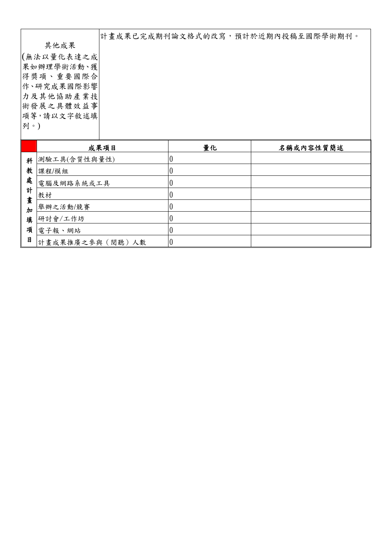|            |  | 計畫成果已完成期刊論文格式的改寫,預計於近期內投稿至國際學術期刊。 |
|------------|--|-----------------------------------|
| 其他成果       |  |                                   |
| (無法以量化表達之成 |  |                                   |
| 果如辦理學術活動、獲 |  |                                   |
| 得獎項、重要國際合  |  |                                   |
| 作、研究成果國際影響 |  |                                   |
| 力及其他協助產業技  |  |                                   |
| 術發展之具體效益事  |  |                                   |
| 項等,請以文字敘述填 |  |                                   |
| 列。)        |  |                                   |
|            |  |                                   |
|            |  |                                   |

|        | 成果項目            | 量化 | 名稱或內容性質簡述 |
|--------|-----------------|----|-----------|
| 科      | 測驗工具(含質性與量性)    |    |           |
| 教      | 課程/模組           |    |           |
| 處      | 電腦及網路系統或工具      |    |           |
| 計      | 教材              |    |           |
| 畫<br>加 | 舉辦之活動/競賽        |    |           |
| 填      | 研討會/工作坊         |    |           |
| 項      | 電子報、網站          |    |           |
| 目      | 計畫成果推廣之參與(閱聽)人數 |    |           |